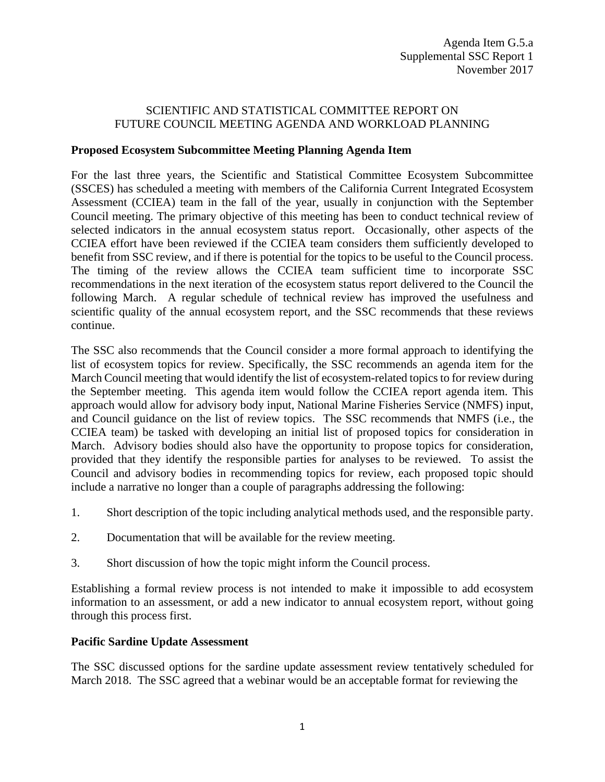## SCIENTIFIC AND STATISTICAL COMMITTEE REPORT ON FUTURE COUNCIL MEETING AGENDA AND WORKLOAD PLANNING

## **Proposed Ecosystem Subcommittee Meeting Planning Agenda Item**

For the last three years, the Scientific and Statistical Committee Ecosystem Subcommittee (SSCES) has scheduled a meeting with members of the California Current Integrated Ecosystem Assessment (CCIEA) team in the fall of the year, usually in conjunction with the September Council meeting. The primary objective of this meeting has been to conduct technical review of selected indicators in the annual ecosystem status report. Occasionally, other aspects of the CCIEA effort have been reviewed if the CCIEA team considers them sufficiently developed to benefit from SSC review, and if there is potential for the topics to be useful to the Council process. The timing of the review allows the CCIEA team sufficient time to incorporate SSC recommendations in the next iteration of the ecosystem status report delivered to the Council the following March. A regular schedule of technical review has improved the usefulness and scientific quality of the annual ecosystem report, and the SSC recommends that these reviews continue.

The SSC also recommends that the Council consider a more formal approach to identifying the list of ecosystem topics for review. Specifically, the SSC recommends an agenda item for the March Council meeting that would identify the list of ecosystem-related topics to for review during the September meeting. This agenda item would follow the CCIEA report agenda item. This approach would allow for advisory body input, National Marine Fisheries Service (NMFS) input, and Council guidance on the list of review topics. The SSC recommends that NMFS (i.e., the CCIEA team) be tasked with developing an initial list of proposed topics for consideration in March. Advisory bodies should also have the opportunity to propose topics for consideration, provided that they identify the responsible parties for analyses to be reviewed. To assist the Council and advisory bodies in recommending topics for review, each proposed topic should include a narrative no longer than a couple of paragraphs addressing the following:

- 1. Short description of the topic including analytical methods used, and the responsible party.
- 2. Documentation that will be available for the review meeting.
- 3. Short discussion of how the topic might inform the Council process.

Establishing a formal review process is not intended to make it impossible to add ecosystem information to an assessment, or add a new indicator to annual ecosystem report, without going through this process first.

#### **Pacific Sardine Update Assessment**

The SSC discussed options for the sardine update assessment review tentatively scheduled for March 2018. The SSC agreed that a webinar would be an acceptable format for reviewing the